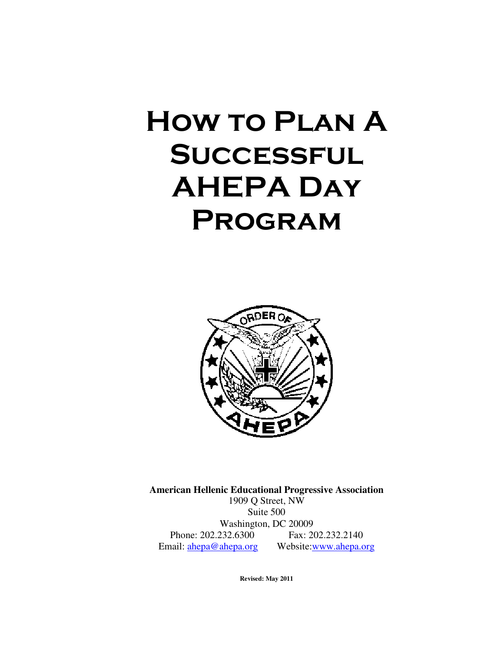# How to Plan A **SUCCESSFUL** AHEPA Day **PROGRAM**



**American Hellenic Educational Progressive Association**  1909 Q Street, NW Suite 500 Washington, DC 20009 Phone: 202.232.6300 Fax: 202.232.2140 Email: ahepa@ahepa.org Website:www.ahepa.org

**Revised: May 2011**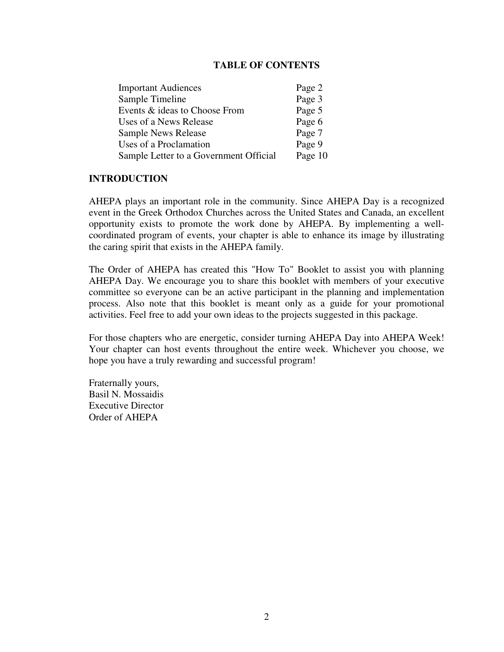# **TABLE OF CONTENTS**

| <b>Important Audiences</b>             | Page 2  |
|----------------------------------------|---------|
| Sample Timeline                        | Page 3  |
| Events & ideas to Choose From          | Page 5  |
| Uses of a News Release                 | Page 6  |
| Sample News Release                    | Page 7  |
| Uses of a Proclamation                 | Page 9  |
| Sample Letter to a Government Official | Page 10 |

#### **INTRODUCTION**

AHEPA plays an important role in the community. Since AHEPA Day is a recognized event in the Greek Orthodox Churches across the United States and Canada, an excellent opportunity exists to promote the work done by AHEPA. By implementing a wellcoordinated program of events, your chapter is able to enhance its image by illustrating the caring spirit that exists in the AHEPA family.

The Order of AHEPA has created this "How To" Booklet to assist you with planning AHEPA Day. We encourage you to share this booklet with members of your executive committee so everyone can be an active participant in the planning and implementation process. Also note that this booklet is meant only as a guide for your promotional activities. Feel free to add your own ideas to the projects suggested in this package.

For those chapters who are energetic, consider turning AHEPA Day into AHEPA Week! Your chapter can host events throughout the entire week. Whichever you choose, we hope you have a truly rewarding and successful program!

Fraternally yours, Basil N. Mossaidis Executive Director Order of AHEPA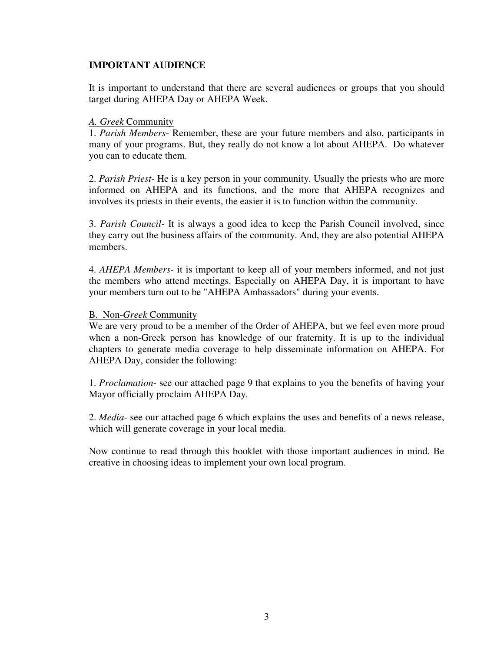# **IMPORTANT AUDIENCE**

It is important to understand that there are several audiences or groups that you should target during AHEPA Day or AHEPA Week.

# *A. Greek* Community

1. *Parish Members*- Remember, these are your future members and also, participants in many of your programs. But, they really do not know a lot about AHEPA. Do whatever you can to educate them.

2. *Parish Priest-* He is a key person in your community. Usually the priests who are more informed on AHEPA and its functions, and the more that AHEPA recognizes and involves its priests in their events, the easier it is to function within the community.

3. *Parish Council-* It is always a good idea to keep the Parish Council involved, since they carry out the business affairs of the community. And, they are also potential AHEPA members.

4. *AHEPA Members-* it is important to keep all of your members informed, and not just the members who attend meetings. Especially on AHEPA Day, it is important to have your members turn out to be "AHEPA Ambassadors" during your events.

# B. Non-*Greek* Community

We are very proud to be a member of the Order of AHEPA, but we feel even more proud when a non-Greek person has knowledge of our fraternity. It is up to the individual chapters to generate media coverage to help disseminate information on AHEPA. For AHEPA Day, consider the following:

1. *Proclamation*- see our attached page 9 that explains to you the benefits of having your Mayor officially proclaim AHEPA Day.

2. *Media-* see our attached page 6 which explains the uses and benefits of a news release, which will generate coverage in your local media.

Now continue to read through this booklet with those important audiences in mind. Be creative in choosing ideas to implement your own local program.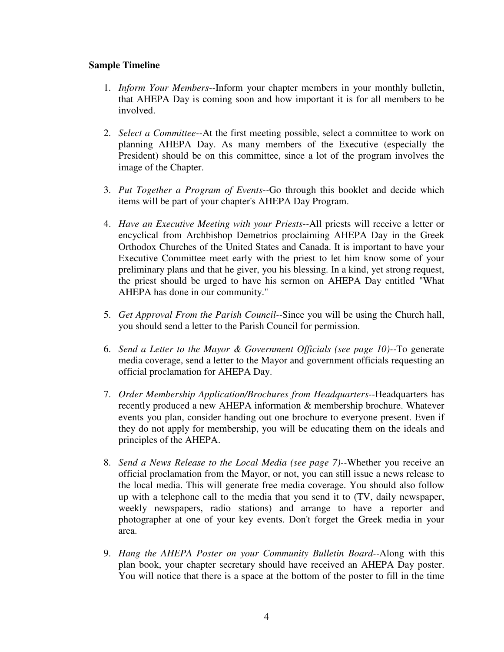## **Sample Timeline**

- 1. *Inform Your Members--*Inform your chapter members in your monthly bulletin, that AHEPA Day is coming soon and how important it is for all members to be involved.
- 2. *Select a Committee--*At the first meeting possible, select a committee to work on planning AHEPA Day. As many members of the Executive (especially the President) should be on this committee, since a lot of the program involves the image of the Chapter.
- 3. *Put Together a Program of Events--*Go through this booklet and decide which items will be part of your chapter's AHEPA Day Program.
- 4. *Have an Executive Meeting with your Priests--*All priests will receive a letter or encyclical from Archbishop Demetrios proclaiming AHEPA Day in the Greek Orthodox Churches of the United States and Canada. It is important to have your Executive Committee meet early with the priest to let him know some of your preliminary plans and that he giver, you his blessing. In a kind, yet strong request, the priest should be urged to have his sermon on AHEPA Day entitled "What AHEPA has done in our community."
- 5. *Get Approval From the Parish Council--*Since you will be using the Church hall, you should send a letter to the Parish Council for permission.
- 6. *Send a Letter to the Mayor & Government Officials (see page 10)--*To generate media coverage, send a letter to the Mayor and government officials requesting an official proclamation for AHEPA Day.
- 7. *Order Membership Application/Brochures from Headquarters--*Headquarters has recently produced a new AHEPA information & membership brochure. Whatever events you plan, consider handing out one brochure to everyone present. Even if they do not apply for membership, you will be educating them on the ideals and principles of the AHEPA.
- 8. *Send a News Release to the Local Media (see page 7)--*Whether you receive an official proclamation from the Mayor, or not, you can still issue a news release to the local media. This will generate free media coverage. You should also follow up with a telephone call to the media that you send it to (TV, daily newspaper, weekly newspapers, radio stations) and arrange to have a reporter and photographer at one of your key events. Don't forget the Greek media in your area.
- 9. *Hang the AHEPA Poster on your Community Bulletin Board--*Along with this plan book, your chapter secretary should have received an AHEPA Day poster. You will notice that there is a space at the bottom of the poster to fill in the time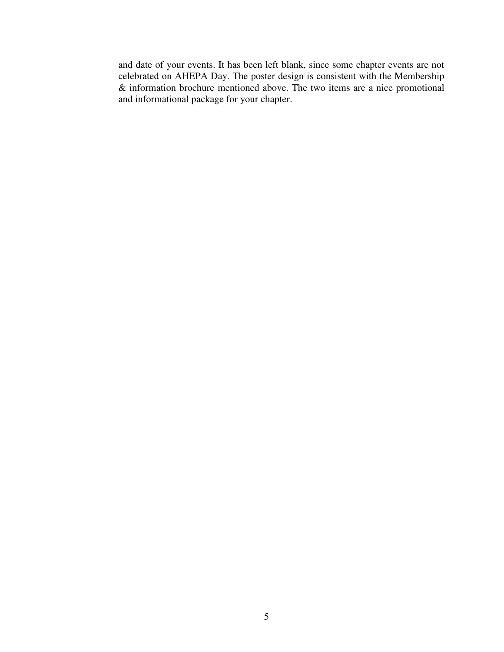and date of your events. It has been left blank, since some chapter events are not celebrated on AHEPA Day. The poster design is consistent with the Membership & information brochure mentioned above. The two items are a nice promotional and informational package for your chapter.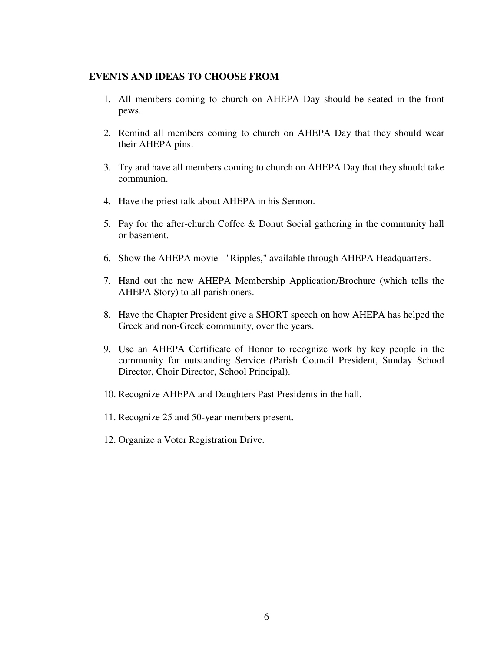#### **EVENTS AND IDEAS TO CHOOSE FROM**

- 1. All members coming to church on AHEPA Day should be seated in the front pews.
- 2. Remind all members coming to church on AHEPA Day that they should wear their AHEPA pins.
- 3. Try and have all members coming to church on AHEPA Day that they should take communion.
- 4. Have the priest talk about AHEPA in his Sermon.
- 5. Pay for the after-church Coffee & Donut Social gathering in the community hall or basement.
- 6. Show the AHEPA movie "Ripples," available through AHEPA Headquarters.
- 7. Hand out the new AHEPA Membership Application/Brochure (which tells the AHEPA Story) to all parishioners.
- 8. Have the Chapter President give a SHORT speech on how AHEPA has helped the Greek and non-Greek community, over the years.
- 9. Use an AHEPA Certificate of Honor to recognize work by key people in the community for outstanding Service *(*Parish Council President, Sunday School Director, Choir Director, School Principal).
- 10. Recognize AHEPA and Daughters Past Presidents in the hall.
- 11. Recognize 25 and 50-year members present.
- 12. Organize a Voter Registration Drive.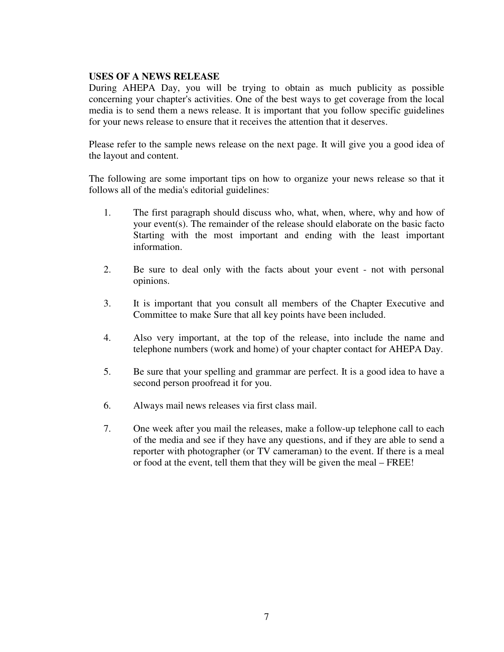#### **USES OF A NEWS RELEASE**

During AHEPA Day, you will be trying to obtain as much publicity as possible concerning your chapter's activities. One of the best ways to get coverage from the local media is to send them a news release. It is important that you follow specific guidelines for your news release to ensure that it receives the attention that it deserves.

Please refer to the sample news release on the next page. It will give you a good idea of the layout and content.

The following are some important tips on how to organize your news release so that it follows all of the media's editorial guidelines:

- 1. The first paragraph should discuss who, what, when, where, why and how of your event(s). The remainder of the release should elaborate on the basic facto Starting with the most important and ending with the least important information.
- 2. Be sure to deal only with the facts about your event not with personal opinions.
- 3. It is important that you consult all members of the Chapter Executive and Committee to make Sure that all key points have been included.
- 4. Also very important, at the top of the release, into include the name and telephone numbers (work and home) of your chapter contact for AHEPA Day.
- 5. Be sure that your spelling and grammar are perfect. It is a good idea to have a second person proofread it for you.
- 6. Always mail news releases via first class mail.
- 7. One week after you mail the releases, make a follow-up telephone call to each of the media and see if they have any questions, and if they are able to send a reporter with photographer (or TV cameraman) to the event. If there is a meal or food at the event, tell them that they will be given the meal – FREE!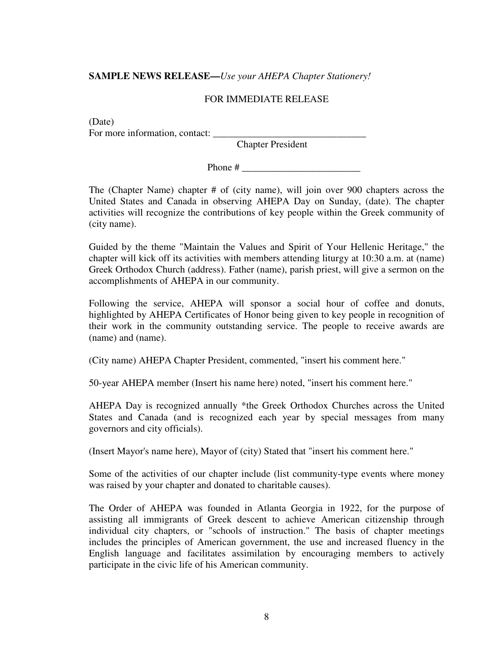# **SAMPLE NEWS RELEASE—***Use your AHEPA Chapter Stationery!*

# FOR IMMEDIATE RELEASE

(Date) For more information, contact:

Chapter President

Phone #

The (Chapter Name) chapter # of (city name), will join over 900 chapters across the United States and Canada in observing AHEPA Day on Sunday, (date). The chapter activities will recognize the contributions of key people within the Greek community of (city name).

Guided by the theme "Maintain the Values and Spirit of Your Hellenic Heritage," the chapter will kick off its activities with members attending liturgy at 10:30 a.m. at (name) Greek Orthodox Church (address). Father (name), parish priest, will give a sermon on the accomplishments of AHEPA in our community.

Following the service, AHEPA will sponsor a social hour of coffee and donuts, highlighted by AHEPA Certificates of Honor being given to key people in recognition of their work in the community outstanding service. The people to receive awards are (name) and (name).

(City name) AHEPA Chapter President, commented, "insert his comment here."

50-year AHEPA member (Insert his name here) noted, "insert his comment here."

AHEPA Day is recognized annually \*the Greek Orthodox Churches across the United States and Canada (and is recognized each year by special messages from many governors and city officials).

(Insert Mayor's name here), Mayor of (city) Stated that "insert his comment here."

Some of the activities of our chapter include (list community-type events where money was raised by your chapter and donated to charitable causes).

The Order of AHEPA was founded in Atlanta Georgia in 1922, for the purpose of assisting all immigrants of Greek descent to achieve American citizenship through individual city chapters, or "schools of instruction." The basis of chapter meetings includes the principles of American government, the use and increased fluency in the English language and facilitates assimilation by encouraging members to actively participate in the civic life of his American community.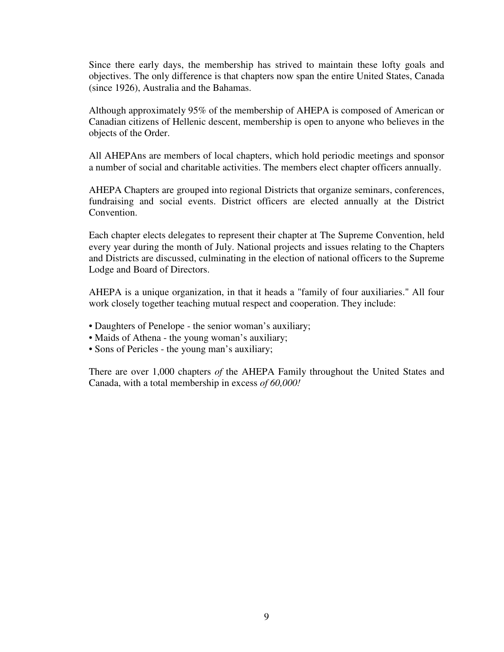Since there early days, the membership has strived to maintain these lofty goals and objectives. The only difference is that chapters now span the entire United States, Canada (since 1926), Australia and the Bahamas.

Although approximately 95% of the membership of AHEPA is composed of American or Canadian citizens of Hellenic descent, membership is open to anyone who believes in the objects of the Order.

All AHEPAns are members of local chapters, which hold periodic meetings and sponsor a number of social and charitable activities. The members elect chapter officers annually.

AHEPA Chapters are grouped into regional Districts that organize seminars, conferences, fundraising and social events. District officers are elected annually at the District Convention.

Each chapter elects delegates to represent their chapter at The Supreme Convention, held every year during the month of July. National projects and issues relating to the Chapters and Districts are discussed, culminating in the election of national officers to the Supreme Lodge and Board of Directors.

AHEPA is a unique organization, in that it heads a "family of four auxiliaries." All four work closely together teaching mutual respect and cooperation. They include:

- Daughters of Penelope the senior woman's auxiliary;
- Maids of Athena the young woman's auxiliary;
- Sons of Pericles the young man's auxiliary;

There are over 1,000 chapters *of* the AHEPA Family throughout the United States and Canada, with a total membership in excess *of 60,000!*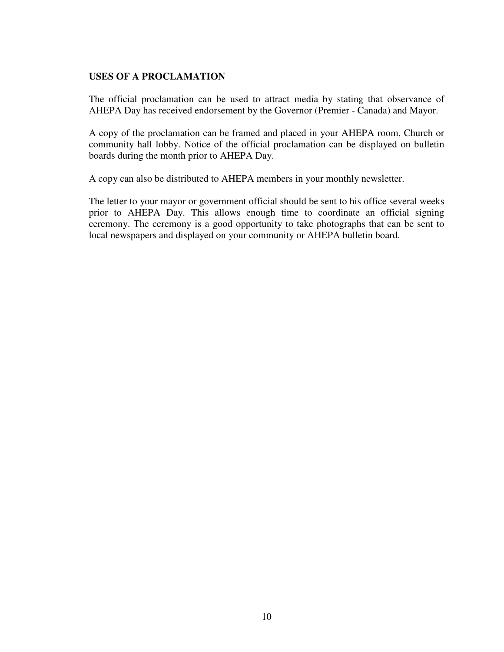# **USES OF A PROCLAMATION**

The official proclamation can be used to attract media by stating that observance of AHEPA Day has received endorsement by the Governor (Premier - Canada) and Mayor.

A copy of the proclamation can be framed and placed in your AHEPA room, Church or community hall lobby. Notice of the official proclamation can be displayed on bulletin boards during the month prior to AHEPA Day.

A copy can also be distributed to AHEPA members in your monthly newsletter.

The letter to your mayor or government official should be sent to his office several weeks prior to AHEPA Day. This allows enough time to coordinate an official signing ceremony. The ceremony is a good opportunity to take photographs that can be sent to local newspapers and displayed on your community or AHEPA bulletin board.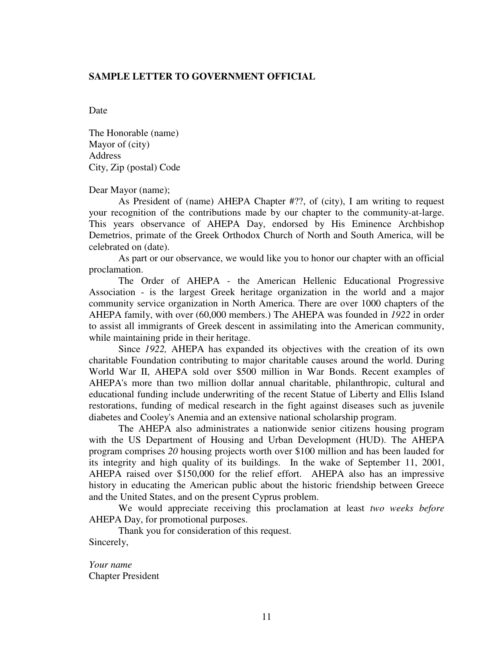#### **SAMPLE LETTER TO GOVERNMENT OFFICIAL**

Date

The Honorable (name) Mayor of (city) Address City, Zip (postal) Code

Dear Mayor (name);

As President of (name) AHEPA Chapter #??, of (city), I am writing to request your recognition of the contributions made by our chapter to the community-at-large. This years observance of AHEPA Day, endorsed by His Eminence Archbishop Demetrios, primate of the Greek Orthodox Church of North and South America, will be celebrated on (date).

 As part or our observance, we would like you to honor our chapter with an official proclamation.

 The Order of AHEPA - the American Hellenic Educational Progressive Association - is the largest Greek heritage organization in the world and a major community service organization in North America. There are over 1000 chapters of the AHEPA family, with over (60,000 members.) The AHEPA was founded in *1922* in order to assist all immigrants of Greek descent in assimilating into the American community, while maintaining pride in their heritage.

 Since *1922,* AHEPA has expanded its objectives with the creation of its own charitable Foundation contributing to major charitable causes around the world. During World War II, AHEPA sold over \$500 million in War Bonds. Recent examples of AHEPA's more than two million dollar annual charitable, philanthropic, cultural and educational funding include underwriting of the recent Statue of Liberty and Ellis Island restorations, funding of medical research in the fight against diseases such as juvenile diabetes and Cooley's Anemia and an extensive national scholarship program.

 The AHEPA also administrates a nationwide senior citizens housing program with the US Department of Housing and Urban Development (HUD). The AHEPA program comprises *20* housing projects worth over \$100 million and has been lauded for its integrity and high quality of its buildings. In the wake of September 11, 2001, AHEPA raised over \$150,000 for the relief effort. AHEPA also has an impressive history in educating the American public about the historic friendship between Greece and the United States, and on the present Cyprus problem.

 We would appreciate receiving this proclamation at least *two weeks before*  AHEPA Day, for promotional purposes.

Thank you for consideration of this request. Sincerely,

*Your name*  Chapter President